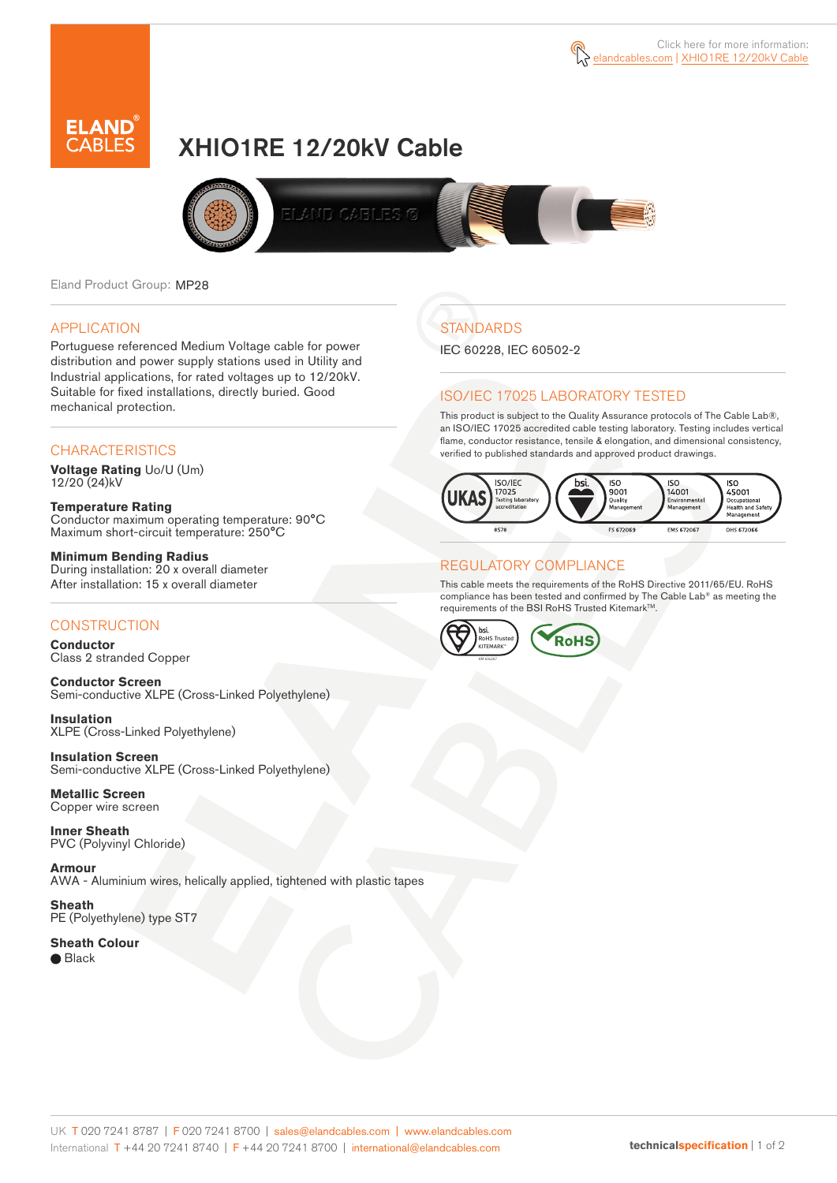

# XHIO1RE 12/20kV Cable



Eland Product Group: MP28

### APPLICATION

Portuguese referenced Medium Voltage cable for power distribution and power supply stations used in Utility and Industrial applications, for rated voltages up to 12/20kV. Suitable for fixed installations, directly buried. Good mechanical protection.

### **CHARACTERISTICS**

**Voltage Rating** Uo/U (Um) 12/20 (24)kV

**Temperature Rating** Conductor maximum operating temperature: 90°C Maximum short-circuit temperature: 250°C

**Minimum Bending Radius** During installation: 20 x overall diameter After installation: 15 x overall diameter

### **CONSTRUCTION**

**Conductor**  Class 2 stranded Copper

**Conductor Screen** Semi-conductive XLPE (Cross-Linked Polyethylene)

**Insulation** XLPE (Cross-Linked Polyethylene)

**Insulation Screen** Semi-conductive XLPE (Cross-Linked Polyethylene)

**Metallic Screen**  Copper wire screen

**Inner Sheath** PVC (Polyvinyl Chloride)

**Armour** AWA - Aluminium wires, helically applied, tightened with plastic tapes

**Sheath** PE (Polyethylene) type ST7

**Sheath Colour**  ● Black

# **STANDARDS**

IEC 60228, IEC 60502-2

### ISO/IEC 17025 LABORATORY TESTED

This product is subject to the Quality Assurance protocols of The Cable Lab®, an ISO/IEC 17025 accredited cable testing laboratory. Testing includes vertical flame, conductor resistance, tensile & elongation, and dimensional consistency, verified to published standards and approved product drawings.



### REGULATORY COMPLIANCE

This cable meets the requirements of the RoHS Directive 2011/65/EU. RoHS compliance has been tested and confirmed by The Cable Lab® as meeting the requirements of the BSI RoHS Trusted Kitemark™.